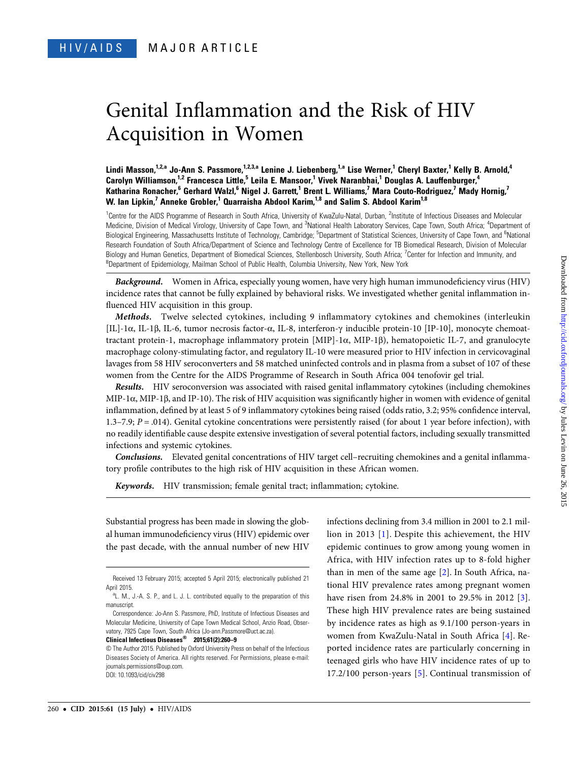# Genital Inflammation and the Risk of HIV Acquisition in Women

Lindi Masson,<sup>1,2,a</sup> Jo-Ann S. Passmore,<sup>1,2,3,a</sup> Lenine J. Liebenberg,<sup>1,a</sup> Lise Werner,<sup>1</sup> Cheryl Baxter,<sup>1</sup> Kelly B. Arnold,<sup>4</sup> Carolyn Williamson,<sup>1,2</sup> Francesca Little,<sup>5</sup> Leila E. Mansoor,<sup>1</sup> Vivek Naranbhai,<sup>1</sup> Douglas A. Lauffenburger,<sup>4</sup> Katharina Ronacher,<sup>6</sup> Gerhard Walzl,<sup>6</sup> Nigel J. Garrett,<sup>1</sup> Brent L. Williams,<sup>7</sup> Mara Couto-Rodriguez,<sup>7</sup> Mady Hornig,<sup>7</sup> W. Ian Lipkin,<sup>7</sup> Anneke Grobler,<sup>1</sup> Quarraisha Abdool Karim,<sup>1,8</sup> and Salim S. Abdool Karim<sup>1,8</sup>

<sup>1</sup>Centre for the AIDS Programme of Research in South Africa, University of KwaZulu-Natal, Durban, <sup>2</sup>Institute of Infectious Diseases and Molecular Medicine, Division of Medical Virology, University of Cape Town, and <sup>3</sup>National Health Laboratory Services, Cape Town, South Africa; <sup>4</sup>Department of Biological Engineering, Massachusetts Institute of Technology, Cambridge; <sup>5</sup>Department of Statistical Sciences, University of Cape Town, and <sup>6</sup>National Research Foundation of South Africa/Department of Science and Technology Centre of Excellence for TB Biomedical Research, Division of Molecular Biology and Human Genetics, Department of Biomedical Sciences, Stellenbosch University, South Africa; <sup>7</sup>Center for Infection and Immunity, and<br><sup>8</sup>Department of Enidemialsay, Mailman School of Public Health, Columbia Unive <sup>8</sup>Department of Epidemiology, Mailman School of Public Health, Columbia University, New York, New York

**Background.** Women in Africa, especially young women, have very high human immunodeficiency virus (HIV) incidence rates that cannot be fully explained by behavioral risks. We investigated whether genital inflammation influenced HIV acquisition in this group.

Methods. Twelve selected cytokines, including 9 inflammatory cytokines and chemokines (interleukin [IL]-1α, IL-1β, IL-6, tumor necrosis factor-α, IL-8, interferon-γ inducible protein-10 [IP-10], monocyte chemoattractant protein-1, macrophage inflammatory protein [MIP]-1α, MIP-1β), hematopoietic IL-7, and granulocyte macrophage colony-stimulating factor, and regulatory IL-10 were measured prior to HIV infection in cervicovaginal lavages from 58 HIV seroconverters and 58 matched uninfected controls and in plasma from a subset of 107 of these women from the Centre for the AIDS Programme of Research in South Africa 004 tenofovir gel trial.

Results. HIV seroconversion was associated with raised genital inflammatory cytokines (including chemokines MIP-1α, MIP-1β, and IP-10). The risk of HIV acquisition was significantly higher in women with evidence of genital inflammation, defined by at least 5 of 9 inflammatory cytokines being raised (odds ratio, 3.2; 95% confidence interval, 1.3–7.9;  $P = .014$ ). Genital cytokine concentrations were persistently raised (for about 1 year before infection), with no readily identifiable cause despite extensive investigation of several potential factors, including sexually transmitted infections and systemic cytokines.

Conclusions. Elevated genital concentrations of HIV target cell–recruiting chemokines and a genital inflammatory profile contributes to the high risk of HIV acquisition in these African women.

Keywords. HIV transmission; female genital tract; inflammation; cytokine.

Substantial progress has been made in slowing the global human immunodeficiency virus (HIV) epidemic over the past decade, with the annual number of new HIV infections declining from 3.4 million in 2001 to 2.1 million in 2013 [[1\]](#page-8-0). Despite this achievement, the HIV epidemic continues to grow among young women in Africa, with HIV infection rates up to 8-fold higher than in men of the same age [\[2\]](#page-8-0). In South Africa, national HIV prevalence rates among pregnant women have risen from 24.8% in 2001 to 29.5% in 2012 [[3](#page-8-0)]. These high HIV prevalence rates are being sustained by incidence rates as high as 9.1/100 person-years in women from KwaZulu-Natal in South Africa [\[4\]](#page-8-0). Reported incidence rates are particularly concerning in teenaged girls who have HIV incidence rates of up to 17.2/100 person-years [[5\]](#page-8-0). Continual transmission of

Received 13 February 2015; accepted 5 April 2015; electronically published 21 April 2015.

<sup>&</sup>lt;sup>a</sup>L. M., J.-A. S. P., and L. J. L. contributed equally to the preparation of this manuscript.

Correspondence: Jo-Ann S. Passmore, PhD, Institute of Infectious Diseases and Molecular Medicine, University of Cape Town Medical School, Anzio Road, Observatory, 7925 Cape Town, South Africa [\(Jo-ann.Passmore@uct.ac.za](mailto:Jo-ann.Passmore@uct.ac.za)). Clinical Infectious Diseases® 2015;61(2):260–9

<sup>©</sup> The Author 2015. Published by Oxford University Press on behalf of the Infectious Diseases Society of America. All rights reserved. For Permissions, please e-mail: [journals.permissions@oup.com](mailto:journals.permissions@oup.com). DOI: 10.1093/cid/civ298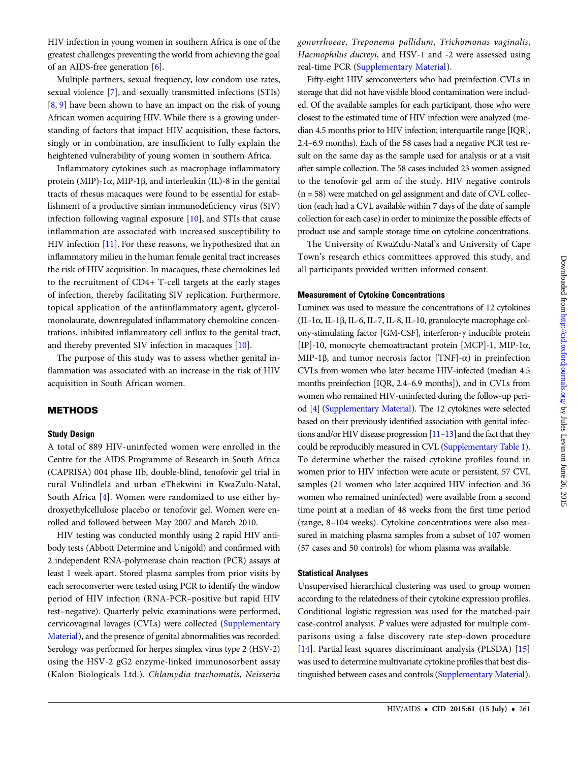HIV infection in young women in southern Africa is one of the greatest challenges preventing the world from achieving the goal of an AIDS-free generation [[6](#page-8-0)].

Multiple partners, sexual frequency, low condom use rates, sexual violence [\[7\]](#page-8-0), and sexually transmitted infections (STIs) [\[8,](#page-8-0) [9](#page-8-0)] have been shown to have an impact on the risk of young African women acquiring HIV. While there is a growing understanding of factors that impact HIV acquisition, these factors, singly or in combination, are insufficient to fully explain the heightened vulnerability of young women in southern Africa.

Inflammatory cytokines such as macrophage inflammatory protein (MIP)-1α, MIP-1β, and interleukin (IL)-8 in the genital tracts of rhesus macaques were found to be essential for establishment of a productive simian immunodeficiency virus (SIV) infection following vaginal exposure [[10](#page-8-0)], and STIs that cause inflammation are associated with increased susceptibility to HIV infection [\[11](#page-8-0)]. For these reasons, we hypothesized that an inflammatory milieu in the human female genital tract increases the risk of HIV acquisition. In macaques, these chemokines led to the recruitment of CD4+ T-cell targets at the early stages of infection, thereby facilitating SIV replication. Furthermore, topical application of the antiinflammatory agent, glycerolmonolaurate, downregulated inflammatory chemokine concentrations, inhibited inflammatory cell influx to the genital tract, and thereby prevented SIV infection in macaques [[10\]](#page-8-0).

The purpose of this study was to assess whether genital inflammation was associated with an increase in the risk of HIV acquisition in South African women.

#### METHODS

#### Study Design

A total of 889 HIV-uninfected women were enrolled in the Centre for the AIDS Programme of Research in South Africa (CAPRISA) 004 phase IIb, double-blind, tenofovir gel trial in rural Vulindlela and urban eThekwini in KwaZulu-Natal, South Africa [[4\]](#page-8-0). Women were randomized to use either hydroxyethylcellulose placebo or tenofovir gel. Women were enrolled and followed between May 2007 and March 2010.

HIV testing was conducted monthly using 2 rapid HIV antibody tests (Abbott Determine and Unigold) and confirmed with 2 independent RNA-polymerase chain reaction (PCR) assays at least 1 week apart. Stored plasma samples from prior visits by each seroconverter were tested using PCR to identify the window period of HIV infection (RNA-PCR–positive but rapid HIV test–negative). Quarterly pelvic examinations were performed, cervicovaginal lavages (CVLs) were collected ([Supplementary](http://cid.oxfordjournals.org/lookup/suppl/doi:10.1093/cid/civ298/-/DC1) [Material](http://cid.oxfordjournals.org/lookup/suppl/doi:10.1093/cid/civ298/-/DC1)), and the presence of genital abnormalities was recorded. Serology was performed for herpes simplex virus type 2 (HSV-2) using the HSV-2 gG2 enzyme-linked immunosorbent assay (Kalon Biologicals Ltd.). Chlamydia trachomatis, Neisseria gonorrhoeae, Treponema pallidum, Trichomonas vaginalis, Haemophilus ducreyi, and HSV-1 and -2 were assessed using real-time PCR ([Supplementary Material](http://cid.oxfordjournals.org/lookup/suppl/doi:10.1093/cid/civ298/-/DC1)).

Fifty-eight HIV seroconverters who had preinfection CVLs in storage that did not have visible blood contamination were included. Of the available samples for each participant, those who were closest to the estimated time of HIV infection were analyzed (median 4.5 months prior to HIV infection; interquartile range [IQR], 2.4–6.9 months). Each of the 58 cases had a negative PCR test result on the same day as the sample used for analysis or at a visit after sample collection. The 58 cases included 23 women assigned to the tenofovir gel arm of the study. HIV negative controls  $(n = 58)$  were matched on gel assignment and date of CVL collection (each had a CVL available within 7 days of the date of sample collection for each case) in order to minimize the possible effects of product use and sample storage time on cytokine concentrations.

The University of KwaZulu-Natal's and University of Cape Town's research ethics committees approved this study, and all participants provided written informed consent.

#### Measurement of Cytokine Concentrations

Luminex was used to measure the concentrations of 12 cytokines (IL-1α, IL-1β, IL-6, IL-7, IL-8, IL-10, granulocyte macrophage colony-stimulating factor [GM-CSF], interferon-γ inducible protein [IP]-10, monocyte chemoattractant protein [MCP]-1, MIP-1α, MIP-1β, and tumor necrosis factor [TNF]- $\alpha$ ) in preinfection CVLs from women who later became HIV-infected (median 4.5 months preinfection [IQR, 2.4–6.9 months]), and in CVLs from women who remained HIV-uninfected during the follow-up period [\[4\]](#page-8-0) [\(Supplementary Material](http://cid.oxfordjournals.org/lookup/suppl/doi:10.1093/cid/civ298/-/DC1)). The 12 cytokines were selected based on their previously identified association with genital infections and/or HIV disease progression  $[11-13]$  $[11-13]$  $[11-13]$  $[11-13]$  and the fact that they could be reproducibly measured in CVL [\(Supplementary Table 1\)](http://cid.oxfordjournals.org/lookup/suppl/doi:10.1093/cid/civ298/-/DC1). To determine whether the raised cytokine profiles found in women prior to HIV infection were acute or persistent, 57 CVL samples (21 women who later acquired HIV infection and 36 women who remained uninfected) were available from a second time point at a median of 48 weeks from the first time period (range, 8–104 weeks). Cytokine concentrations were also measured in matching plasma samples from a subset of 107 women (57 cases and 50 controls) for whom plasma was available.

#### Statistical Analyses

Unsupervised hierarchical clustering was used to group women according to the relatedness of their cytokine expression profiles. Conditional logistic regression was used for the matched-pair case-control analysis. P values were adjusted for multiple comparisons using a false discovery rate step-down procedure [\[14](#page-9-0)]. Partial least squares discriminant analysis (PLSDA) [\[15\]](#page-9-0) was used to determine multivariate cytokine profiles that best distinguished between cases and controls [\(Supplementary Material](http://cid.oxfordjournals.org/lookup/suppl/doi:10.1093/cid/civ298/-/DC1)).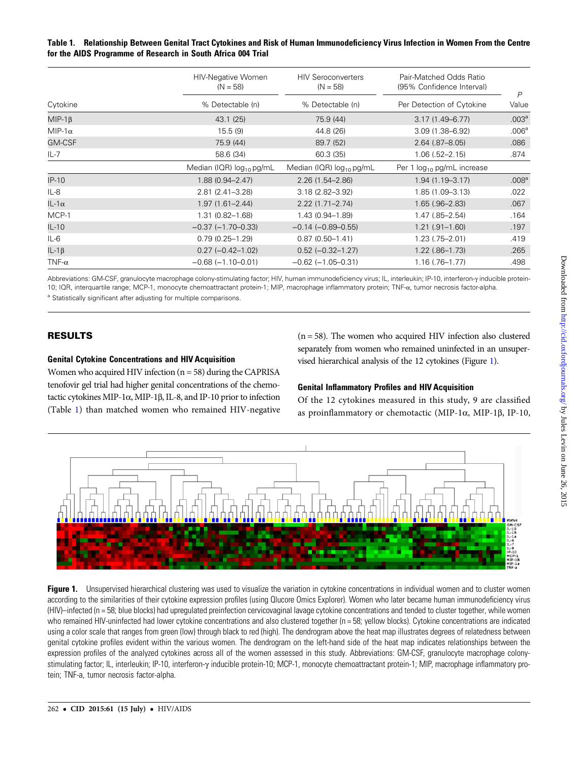<span id="page-2-0"></span>Table 1. Relationship Between Genital Tract Cytokines and Risk of Human Immunodeficiency Virus Infection in Women From the Centre for the AIDS Programme of Research in South Africa 004 Trial

|               | <b>HIV-Negative Women</b><br>$(N = 58)$ | <b>HIV Seroconverters</b><br>$(N = 58)$<br>% Detectable (n) | Pair-Matched Odds Ratio<br>(95% Confidence Interval)<br>Per Detection of Cytokine | $\overline{P}$<br>Value |
|---------------|-----------------------------------------|-------------------------------------------------------------|-----------------------------------------------------------------------------------|-------------------------|
| Cytokine      | % Detectable (n)                        |                                                             |                                                                                   |                         |
| $MIP-1\beta$  | 43.1(25)                                | 75.9 (44)                                                   | $3.17(1.49 - 6.77)$                                                               | .003 <sup>a</sup>       |
| $MIP-1\alpha$ | 15.5(9)                                 | 44.8 (26)                                                   | $3.09(1.38 - 6.92)$                                                               | .006 <sup>a</sup>       |
| GM-CSF        | 75.9 (44)                               | 89.7 (52)                                                   | $2.64$ $(.87 - 8.05)$                                                             | .086                    |
| $IL-7$        | 58.6 (34)                               | 60.3 (35)                                                   | $1.06$ $(.52 - 2.15)$                                                             | .874                    |
|               | Median (IQR) $log_{10}$ pg/mL           | Median (IQR) $log_{10}$ pg/mL                               | Per 1 log <sub>10</sub> pg/mL increase                                            |                         |
| $IP-10$       | $1.88(0.94 - 2.47)$                     | $2.26(1.54 - 2.86)$                                         | $1.94(1.19 - 3.17)$                                                               | .008 <sup>a</sup>       |
| $IL-8$        | $2.81(2.41 - 3.28)$                     | $3.18(2.82 - 3.92)$                                         | 1.85 (1.09-3.13)                                                                  | .022                    |
| $IL-1\alpha$  | $1.97(1.61 - 2.44)$                     | $2.22(1.71 - 2.74)$                                         | $1.65$ $(.96 - 2.83)$                                                             | .067                    |
| MCP-1         | 1.31 (0.82-1.68)                        | 1.43 (0.94-1.89)                                            | $1.47$ $(.85 - 2.54)$                                                             | .164                    |
| $IL-10$       | $-0.37$ $(-1.70 - 0.33)$                | $-0.14 (-0.89 - 0.55)$                                      | $1.21(.91 - 1.60)$                                                                | .197                    |
| $IL-6$        | $0.79(0.25 - 1.29)$                     | $0.87(0.50 - 1.41)$                                         | $1.23$ (.75-2.01)                                                                 | .419                    |
| $IL-1\beta$   | $0.27 (-0.42 - 1.02)$                   | $0.52$ (-0.32-1.27)                                         | $1.22$ (.86-1.73)                                                                 | .265                    |
| TNF- $\alpha$ | $-0.68(-1.10-0.01)$                     | $-0.62$ ( $-1.05-0.31$ )                                    | $1.16$ (.76-1.77)                                                                 | .498                    |

Abbreviations: GM-CSF, granulocyte macrophage colony-stimulating factor; HIV, human immunodeficiency virus; IL, interleukin; IP-10, interferon-γ inducible protein-10; IQR, interquartile range; MCP-1, monocyte chemoattractant protein-1; MIP, macrophage inflammatory protein; TNF-α, tumor necrosis factor-alpha.

<sup>a</sup> Statistically significant after adjusting for multiple comparisons.

# RESULTS

#### Genital Cytokine Concentrations and HIV Acquisition

Women who acquired HIV infection  $(n = 58)$  during the CAPRISA tenofovir gel trial had higher genital concentrations of the chemotactic cytokines MIP-1α, MIP-1β, IL-8, and IP-10 prior to infection (Table 1) than matched women who remained HIV-negative

 $(n = 58)$ . The women who acquired HIV infection also clustered separately from women who remained uninfected in an unsupervised hierarchical analysis of the 12 cytokines (Figure 1).

# Genital Inflammatory Profiles and HIV Acquisition

Of the 12 cytokines measured in this study, 9 are classified as proinflammatory or chemotactic (MIP-1α, MIP-1β, IP-10,



Figure 1. Unsupervised hierarchical clustering was used to visualize the variation in cytokine concentrations in individual women and to cluster women according to the similarities of their cytokine expression profiles (using Qlucore Omics Explorer). Women who later became human immunodeficiency virus (HIV)–infected (n = 58; blue blocks) had upregulated preinfection cervicovaginal lavage cytokine concentrations and tended to cluster together, while women who remained HIV-uninfected had lower cytokine concentrations and also clustered together (n = 58; yellow blocks). Cytokine concentrations are indicated using a color scale that ranges from green (low) through black to red (high). The dendrogram above the heat map illustrates degrees of relatedness between genital cytokine profiles evident within the various women. The dendrogram on the left-hand side of the heat map indicates relationships between the expression profiles of the analyzed cytokines across all of the women assessed in this study. Abbreviations: GM-CSF, granulocyte macrophage colonystimulating factor; IL, interleukin; IP-10, interferon-γ inducible protein-10; MCP-1, monocyte chemoattractant protein-1; MIP, macrophage inflammatory protein; TNF-a, tumor necrosis factor-alpha.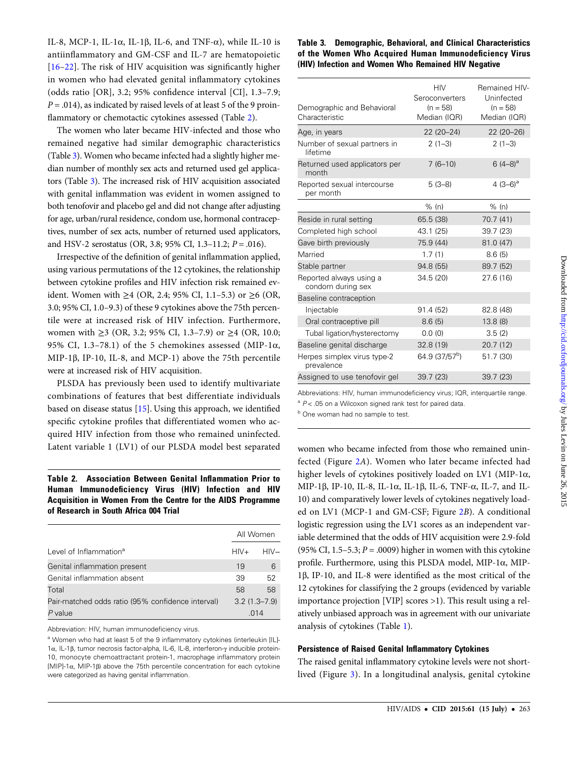IL-8, MCP-1, IL-1α, IL-1β, IL-6, and TNF-α), while IL-10 is antiinflammatory and GM-CSF and IL-7 are hematopoietic [\[16](#page-9-0)–[22\]](#page-9-0). The risk of HIV acquisition was significantly higher in women who had elevated genital inflammatory cytokines (odds ratio [OR], 3.2; 95% confidence interval [CI], 1.3–7.9;  $P = .014$ ), as indicated by raised levels of at least 5 of the 9 proinflammatory or chemotactic cytokines assessed (Table 2).

The women who later became HIV-infected and those who remained negative had similar demographic characteristics (Table 3). Women who became infected had a slightly higher median number of monthly sex acts and returned used gel applicators (Table 3). The increased risk of HIV acquisition associated with genital inflammation was evident in women assigned to both tenofovir and placebo gel and did not change after adjusting for age, urban/rural residence, condom use, hormonal contraceptives, number of sex acts, number of returned used applicators, and HSV-2 serostatus (OR, 3.8; 95% CI, 1.3-11.2;  $P = .016$ ).

Irrespective of the definition of genital inflammation applied, using various permutations of the 12 cytokines, the relationship between cytokine profiles and HIV infection risk remained evident. Women with ≥4 (OR, 2.4; 95% CI, 1.1–5.3) or ≥6 (OR, 3.0; 95% CI, 1.0–9.3) of these 9 cytokines above the 75th percentile were at increased risk of HIV infection. Furthermore, women with ≥3 (OR, 3.2; 95% CI, 1.3–7.9) or ≥4 (OR, 10.0; 95% CI, 1.3-78.1) of the 5 chemokines assessed (MIP-1 $\alpha$ , MIP-1β, IP-10, IL-8, and MCP-1) above the 75th percentile were at increased risk of HIV acquisition.

PLSDA has previously been used to identify multivariate combinations of features that best differentiate individuals based on disease status [[15\]](#page-9-0). Using this approach, we identified specific cytokine profiles that differentiated women who acquired HIV infection from those who remained uninfected. Latent variable 1 (LV1) of our PLSDA model best separated women who became infected from those who remained unin-

Table 2. Association Between Genital Inflammation Prior to Human Immunodeficiency Virus (HIV) Infection and HIV Acquisition in Women From the Centre for the AIDS Programme of Research in South Africa 004 Trial

|                                                   | All Women |                  |
|---------------------------------------------------|-----------|------------------|
| Level of Inflammation <sup>a</sup>                | $HIV+$    | $HIV-$           |
| Genital inflammation present                      | 19        | 6                |
| Genital inflammation absent                       | 39        | 52               |
| Total                                             | 58        | 58               |
| Pair-matched odds ratio (95% confidence interval) |           | $3.2(1.3 - 7.9)$ |
| $P$ value                                         | .014      |                  |

Abbreviation: HIV, human immunodeficiency virus.

<sup>a</sup> Women who had at least 5 of the 9 inflammatory cytokines (interleukin [IL]-1α, IL-1β, tumor necrosis factor-alpha, IL-6, IL-8, interferon-γ inducible protein-10, monocyte chemoattractant protein-1, macrophage inflammatory protein [MIP]-1α, MIP-1β) above the 75th percentile concentration for each cytokine were categorized as having genital inflammation.

#### Table 3. Demographic, Behavioral, and Clinical Characteristics of the Women Who Acquired Human Immunodeficiency Virus (HIV) Infection and Women Who Remained HIV Negative

| Demographic and Behavioral<br>Characteristic | <b>HIV</b><br>Seroconverters<br>$(n = 58)$<br>Median (IQR) | Remained HIV-<br>Uninfected<br>$(n = 58)$<br>Median (IQR) |
|----------------------------------------------|------------------------------------------------------------|-----------------------------------------------------------|
| Age, in years                                | $22(20-24)$                                                | 22 (20-26)                                                |
| Number of sexual partners in<br>lifetime     | $2(1-3)$                                                   | $2(1-3)$                                                  |
| Returned used applicators per<br>month       | $7(6-10)$                                                  | $6(4-8)^a$                                                |
| Reported sexual intercourse<br>per month     | $5(3-8)$                                                   | 4 $(3-6)^a$                                               |
|                                              | % (n)                                                      | % (n)                                                     |
| Reside in rural setting                      | 65.5 (38)                                                  | 70.7(41)                                                  |
| Completed high school                        | 43.1 (25)                                                  | 39.7 (23)                                                 |
| Gave birth previously                        | 75.9 (44)                                                  | 81.0 (47)                                                 |
| Married                                      | 1.7(1)                                                     | 8.6(5)                                                    |
| Stable partner                               | 94.8 (55)                                                  | 89.7 (52)                                                 |
| Reported always using a<br>condom during sex | 34.5 (20)                                                  | 27.6 (16)                                                 |
| Baseline contraception                       |                                                            |                                                           |
| Injectable                                   | 91.4 (52)                                                  | 82.8 (48)                                                 |
| Oral contraceptive pill                      | 8.6(5)                                                     | 13.8(8)                                                   |
| Tubal ligation/hysterectomy                  | 0.0(0)                                                     | 3.5(2)                                                    |
| Baseline genital discharge                   | 32.8 (19)                                                  | 20.7(12)                                                  |
| Herpes simplex virus type-2<br>prevalence    | 64.9 (37/57 <sup>b</sup> )                                 | 51.7 (30)                                                 |
| Assigned to use tenofovir gel                | 39.7(23)                                                   | 39.7(23)                                                  |

Abbreviations: HIV, human immunodeficiency virus; IQR, interquartile range.

 $A^a$  P < .05 on a Wilcoxon signed rank test for paired data.

**b** One woman had no sample to test.

fected (Figure [2](#page-4-0)A). Women who later became infected had higher levels of cytokines positively loaded on LV1 (MIP-1α, MIP-1β, IP-10, IL-8, IL-1α, IL-1β, IL-6, TNF-α, IL-7, and IL-10) and comparatively lower levels of cytokines negatively loaded on LV1 (MCP-1 and GM-CSF; Figure [2](#page-4-0)B). A conditional logistic regression using the LV1 scores as an independent variable determined that the odds of HIV acquisition were 2.9-fold (95% CI, 1.5–5.3;  $P = .0009$ ) higher in women with this cytokine profile. Furthermore, using this PLSDA model, MIP-1α, MIP-1β, IP-10, and IL-8 were identified as the most critical of the 12 cytokines for classifying the 2 groups (evidenced by variable importance projection [VIP] scores >1). This result using a relatively unbiased approach was in agreement with our univariate analysis of cytokines (Table [1\)](#page-2-0).

#### Persistence of Raised Genital Inflammatory Cytokines

The raised genital inflammatory cytokine levels were not shortlived (Figure [3\)](#page-5-0). In a longitudinal analysis, genital cytokine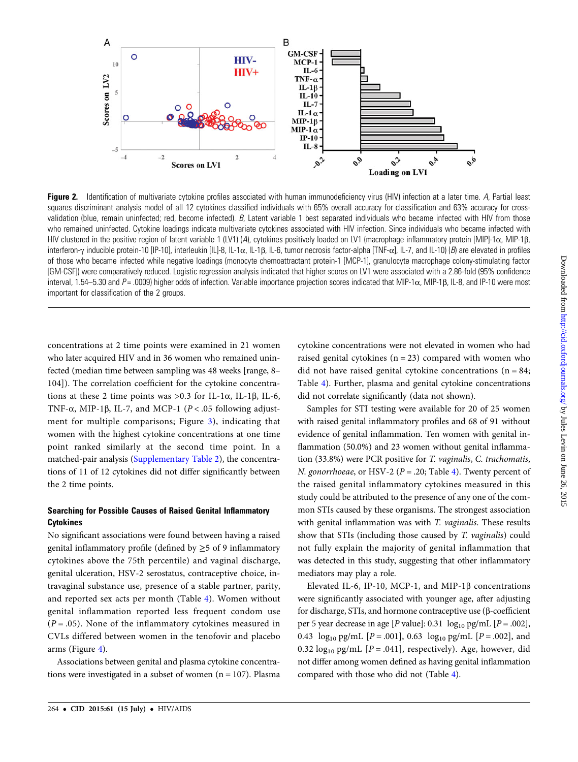<span id="page-4-0"></span>

Figure 2. Identification of multivariate cytokine profiles associated with human immunodeficiency virus (HIV) infection at a later time. A, Partial least squares discriminant analysis model of all 12 cytokines classified individuals with 65% overall accuracy for classification and 63% accuracy for crossvalidation (blue, remain uninfected; red, become infected). B, Latent variable 1 best separated individuals who became infected with HIV from those who remained uninfected. Cytokine loadings indicate multivariate cytokines associated with HIV infection. Since individuals who became infected with HIV clustered in the positive region of latent variable 1 (LV1) (A), cytokines positively loaded on LV1 (macrophage inflammatory protein [MIP]-1α, MIP-1β, interferon-γ inducible protein-10 [IP-10], interleukin [IL]-8, IL-1α, IL-1β, IL-6, tumor necrosis factor-alpha [TNF-α], IL-7, and IL-10) (B) are elevated in profiles of those who became infected while negative loadings (monocyte chemoattractant protein-1 [MCP-1], granulocyte macrophage colony-stimulating factor [GM-CSF]) were comparatively reduced. Logistic regression analysis indicated that higher scores on LV1 were associated with a 2.86-fold (95% confidence interval, 1.54–5.30 and  $P = 0.009$ ) higher odds of infection. Variable importance projection scores indicated that MIP-1α, MIP-1β, IL-8, and IP-10 were most important for classification of the 2 groups.

concentrations at 2 time points were examined in 21 women who later acquired HIV and in 36 women who remained uninfected (median time between sampling was 48 weeks [range, 8– 104]). The correlation coefficient for the cytokine concentrations at these 2 time points was  $>0.3$  for IL-1 $\alpha$ , IL-1 $\beta$ , IL-6, TNF- $\alpha$ , MIP-1 $\beta$ , IL-7, and MCP-1 (P < .05 following adjustment for multiple comparisons; Figure [3](#page-5-0)), indicating that women with the highest cytokine concentrations at one time point ranked similarly at the second time point. In a matched-pair analysis [\(Supplementary Table 2](http://cid.oxfordjournals.org/lookup/suppl/doi:10.1093/cid/civ298/-/DC1)), the concentrations of 11 of 12 cytokines did not differ significantly between the 2 time points.

# Searching for Possible Causes of Raised Genital Inflammatory **Cytokines**

No significant associations were found between having a raised genital inflammatory profile (defined by  $\geq$  5 of 9 inflammatory cytokines above the 75th percentile) and vaginal discharge, genital ulceration, HSV-2 serostatus, contraceptive choice, intravaginal substance use, presence of a stable partner, parity, and reported sex acts per month (Table [4\)](#page-6-0). Women without genital inflammation reported less frequent condom use  $(P = .05)$ . None of the inflammatory cytokines measured in CVLs differed between women in the tenofovir and placebo arms (Figure [4](#page-7-0)).

Associations between genital and plasma cytokine concentrations were investigated in a subset of women  $(n = 107)$ . Plasma cytokine concentrations were not elevated in women who had raised genital cytokines  $(n = 23)$  compared with women who did not have raised genital cytokine concentrations ( $n = 84$ ; Table [4\)](#page-6-0). Further, plasma and genital cytokine concentrations did not correlate significantly (data not shown).

Samples for STI testing were available for 20 of 25 women with raised genital inflammatory profiles and 68 of 91 without evidence of genital inflammation. Ten women with genital inflammation (50.0%) and 23 women without genital inflammation (33.8%) were PCR positive for T. vaginalis, C. trachomatis, N. gonorrhoeae, or HSV-2 ( $P = .20$ ; Table [4\)](#page-6-0). Twenty percent of the raised genital inflammatory cytokines measured in this study could be attributed to the presence of any one of the common STIs caused by these organisms. The strongest association with genital inflammation was with T. vaginalis. These results show that STIs (including those caused by T. vaginalis) could not fully explain the majority of genital inflammation that was detected in this study, suggesting that other inflammatory mediators may play a role.

Elevated IL-6, IP-10, MCP-1, and MIP-1β concentrations were significantly associated with younger age, after adjusting for discharge, STIs, and hormone contraceptive use (β-coefficient per 5 year decrease in age [*P* value]: 0.31  $\log_{10}$  pg/mL [*P* = .002], 0.43  $\log_{10}$  pg/mL [P = .001], 0.63  $\log_{10}$  pg/mL [P = .002], and 0.32  $\log_{10}$  pg/mL [P = .041], respectively). Age, however, did not differ among women defined as having genital inflammation compared with those who did not (Table [4](#page-6-0)).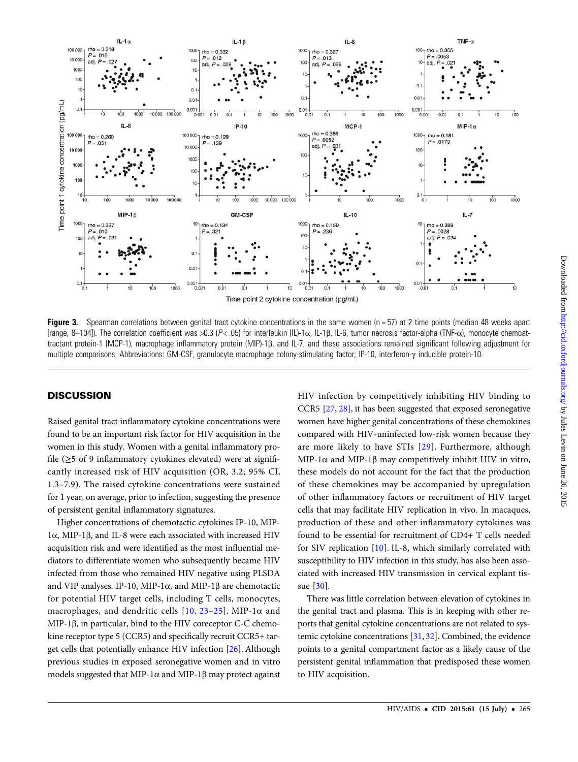<span id="page-5-0"></span>

Figure 3. Spearman correlations between genital tract cytokine concentrations in the same women ( $n = 57$ ) at 2 time points (median 48 weeks apart [range, 8–104]). The correlation coefficient was >0.3 (P < .05) for interleukin (IL)-1α, IL-1β, IL-6, tumor necrosis factor-alpha (TNF-α), monocyte chemoattractant protein-1 (MCP-1), macrophage inflammatory protein (MIP)-1β, and IL-7, and these associations remained significant following adjustment for multiple comparisons. Abbreviations: GM-CSF, granulocyte macrophage colony-stimulating factor; IP-10, interferon-γ inducible protein-10.

### **DISCUSSION**

Raised genital tract inflammatory cytokine concentrations were found to be an important risk factor for HIV acquisition in the women in this study. Women with a genital inflammatory profile ( $\geq$ 5 of 9 inflammatory cytokines elevated) were at significantly increased risk of HIV acquisition (OR, 3.2; 95% CI, 1.3–7.9). The raised cytokine concentrations were sustained for 1 year, on average, prior to infection, suggesting the presence of persistent genital inflammatory signatures.

Higher concentrations of chemotactic cytokines IP-10, MIP-1α, MIP-1β, and IL-8 were each associated with increased HIV acquisition risk and were identified as the most influential mediators to differentiate women who subsequently became HIV infected from those who remained HIV negative using PLSDA and VIP analyses. IP-10, MIP-1α, and MIP-1β are chemotactic for potential HIV target cells, including T cells, monocytes, macrophages, and dendritic cells  $[10, 23-25]$  $[10, 23-25]$  $[10, 23-25]$  $[10, 23-25]$  $[10, 23-25]$  $[10, 23-25]$  $[10, 23-25]$ . MIP-1 $\alpha$  and MIP-1β, in particular, bind to the HIV coreceptor C-C chemokine receptor type 5 (CCR5) and specifically recruit CCR5+ target cells that potentially enhance HIV infection [[26\]](#page-9-0). Although previous studies in exposed seronegative women and in vitro models suggested that MIP-1α and MIP-1β may protect against HIV infection by competitively inhibiting HIV binding to CCR5 [[27](#page-9-0), [28](#page-9-0)], it has been suggested that exposed seronegative women have higher genital concentrations of these chemokines compared with HIV-uninfected low-risk women because they are more likely to have STIs [\[29\]](#page-9-0). Furthermore, although MIP-1 $\alpha$  and MIP-1 $\beta$  may competitively inhibit HIV in vitro, these models do not account for the fact that the production of these chemokines may be accompanied by upregulation of other inflammatory factors or recruitment of HIV target cells that may facilitate HIV replication in vivo. In macaques, production of these and other inflammatory cytokines was found to be essential for recruitment of CD4+ T cells needed for SIV replication [[10](#page-8-0)]. IL-8, which similarly correlated with susceptibility to HIV infection in this study, has also been associated with increased HIV transmission in cervical explant tissue [\[30\]](#page-9-0).

There was little correlation between elevation of cytokines in the genital tract and plasma. This is in keeping with other reports that genital cytokine concentrations are not related to systemic cytokine concentrations [[31,](#page-9-0) [32](#page-9-0)]. Combined, the evidence points to a genital compartment factor as a likely cause of the persistent genital inflammation that predisposed these women to HIV acquisition.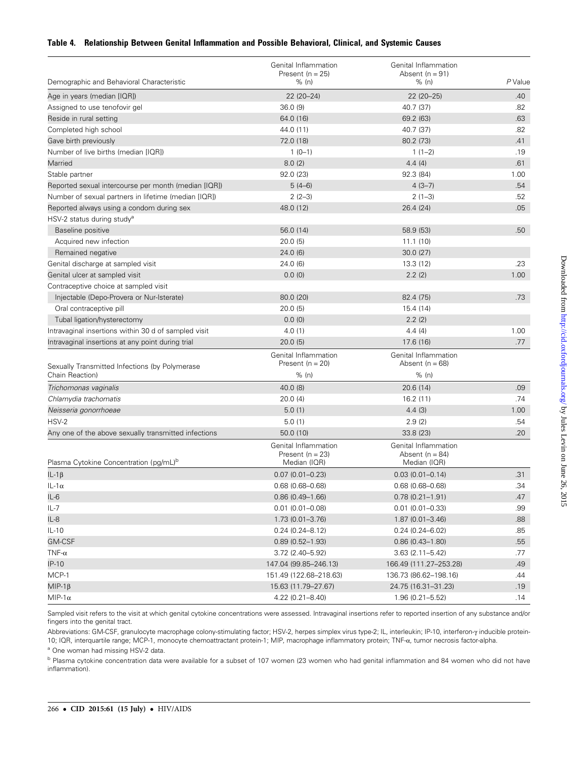#### <span id="page-6-0"></span>Table 4. Relationship Between Genital Inflammation and Possible Behavioral, Clinical, and Systemic Causes

| Demographic and Behavioral Characteristic            | Genital Inflammation<br>Present ( $n = 25$ )<br>% (n)        | Genital Inflammation<br>Absent $(n = 91)$<br>% (n)        | $P$ Value  |
|------------------------------------------------------|--------------------------------------------------------------|-----------------------------------------------------------|------------|
|                                                      |                                                              |                                                           |            |
| Age in years (median [IQR])                          | 22 (20-24)                                                   | 22 (20-25)                                                | .40        |
| Assigned to use tenofovir gel                        | 36.0(9)                                                      | 40.7 (37)<br>69.2 (63)                                    | .82        |
| Reside in rural setting                              | 64.0 (16)<br>44.0 (11)                                       | 40.7 (37)                                                 | .63<br>.82 |
| Completed high school                                |                                                              |                                                           |            |
| Gave birth previously                                | 72.0 (18)                                                    | 80.2 (73)                                                 | .41        |
| Number of live births (median [IQR])<br>Married      | $1(0-1)$<br>8.0(2)                                           | $1(1-2)$<br>4.4(4)                                        | .19<br>.61 |
| Stable partner                                       | 92.0(23)                                                     | 92.3 (84)                                                 | 1.00       |
|                                                      |                                                              |                                                           |            |
| Reported sexual intercourse per month (median [IQR]) | $5(4-6)$                                                     | $4(3-7)$                                                  | .54        |
| Number of sexual partners in lifetime (median [IQR]) | $2(2-3)$                                                     | $2(1-3)$                                                  | .52        |
| Reported always using a condom during sex            | 48.0 (12)                                                    | 26.4 (24)                                                 | .05        |
| HSV-2 status during study <sup>a</sup>               |                                                              |                                                           |            |
| Baseline positive                                    | 56.0(14)                                                     | 58.9 (53)                                                 | .50        |
| Acquired new infection                               | 20.0(5)                                                      | 11.1(10)                                                  |            |
| Remained negative                                    | 24.0(6)                                                      | 30.0(27)                                                  |            |
| Genital discharge at sampled visit                   | 24.0(6)                                                      | 13.3(12)                                                  | .23        |
| Genital ulcer at sampled visit                       | 0.0(0)                                                       | 2.2(2)                                                    | 1.00       |
| Contraceptive choice at sampled visit                |                                                              |                                                           |            |
| Injectable (Depo-Provera or Nur-Isterate)            | 80.0 (20)                                                    | 82.4 (75)                                                 | .73        |
| Oral contraceptive pill                              | 20.0(5)                                                      | 15.4 (14)                                                 |            |
| Tubal ligation/hysterectomy                          | 0.0(0)                                                       | 2.2(2)                                                    |            |
| Intravaginal insertions within 30 d of sampled visit | 4.0(1)                                                       | 4.4(4)                                                    | 1.00       |
| Intravaginal insertions at any point during trial    | 20.0(5)                                                      | 17.6 (16)                                                 | .77        |
| Sexually Transmitted Infections (by Polymerase       | Genital Inflammation<br>Present ( $n = 20$ )                 | Genital Inflammation<br>Absent ( $n = 68$ )               |            |
| Chain Reaction)                                      | % (n)                                                        | % (n)                                                     |            |
| Trichomonas vaginalis                                | 40.0(8)                                                      | 20.6 (14)                                                 | .09        |
| Chlamydia trachomatis                                | 20.0(4)                                                      | 16.2 (11)                                                 | .74        |
| Neisseria gonorrhoeae                                | 5.0(1)                                                       | 4.4(3)                                                    | 1.00       |
| HSV-2                                                | 5.0(1)                                                       | 2.9(2)                                                    | .54        |
| Any one of the above sexually transmitted infections | 50.0(10)                                                     | 33.8 (23)                                                 | .20        |
| Plasma Cytokine Concentration (pg/mL) <sup>b</sup>   | Genital Inflammation<br>Present ( $n = 23$ )<br>Median (IQR) | Genital Inflammation<br>Absent $(n = 84)$<br>Median (IQR) |            |
| $IL-1\beta$                                          | $0.07(0.01 - 0.23)$                                          | $0.03(0.01 - 0.14)$                                       | .31        |
| $IL-1\alpha$                                         | $0.68(0.68 - 0.68)$                                          | $0.68(0.68 - 0.68)$                                       | .34        |
| $IL-6$                                               | $0.86(0.49 - 1.66)$                                          | $0.78(0.21 - 1.91)$                                       | .47        |
| $IL - 7$                                             | $0.01$ (0.01-0.08)                                           | $0.01$ (0.01-0.33)                                        | .99        |
| $IL-8$                                               | $1.73(0.01 - 3.76)$                                          | $1.87(0.01 - 3.46)$                                       | .88        |
| $IL-10$                                              | $0.24(0.24 - 8.12)$                                          | $0.24(0.24 - 6.02)$                                       | .85        |
| GM-CSF                                               | $0.89(0.52 - 1.93)$                                          | $0.86$ $(0.43 - 1.80)$                                    | .55        |
| TNF- $\alpha$                                        | 3.72 (2.40-5.92)                                             | $3.63(2.11 - 5.42)$                                       | .77        |
| $IP-10$                                              | 147.04 (99.85-246.13)                                        | 166.49 (111.27-253.28)                                    | .49        |
| MCP-1                                                | 151.49 (122.68-218.63)                                       | 136.73 (86.62-198.16)                                     | .44        |
| $MIP-1\beta$                                         | 15.63 (11.79–27.67)                                          | 24.75 (16.31-31.23)                                       | .19        |
| $MIP-1\alpha$                                        | 4.22 (0.21-8.40)                                             | $1.96(0.21 - 5.52)$                                       | .14        |

Sampled visit refers to the visit at which genital cytokine concentrations were assessed. Intravaginal insertions refer to reported insertion of any substance and/or fingers into the genital tract.

Abbreviations: GM-CSF, granulocyte macrophage colony-stimulating factor; HSV-2, herpes simplex virus type-2; IL, interleukin; IP-10, interferon-γ inducible protein-10; IQR, interquartile range; MCP-1, monocyte chemoattractant protein-1; MIP, macrophage inflammatory protein; TNF-α, tumor necrosis factor-alpha.

<sup>a</sup> One woman had missing HSV-2 data.

<sup>b</sup> Plasma cytokine concentration data were available for a subset of 107 women (23 women who had genital inflammation and 84 women who did not have inflammation).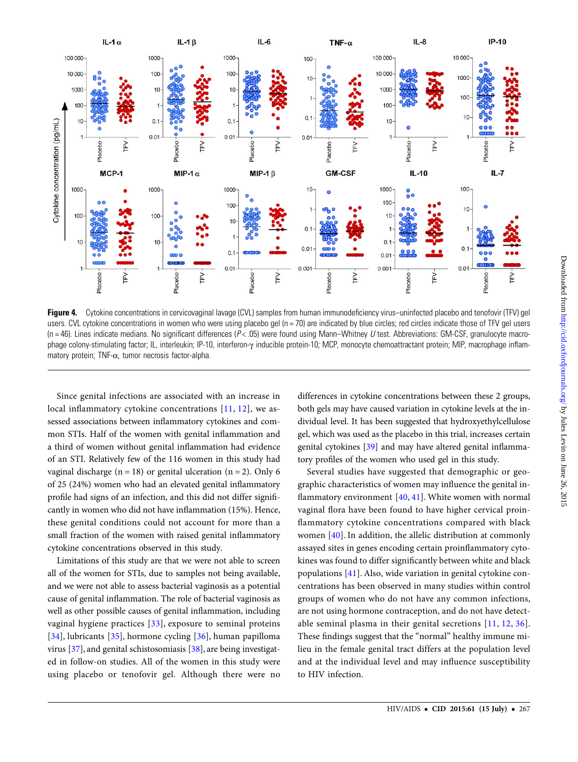<span id="page-7-0"></span>

Figure 4. Cytokine concentrations in cervicovaginal lavage (CVL) samples from human immunodeficiency virus–uninfected placebo and tenofovir (TFV) gel users. CVL cytokine concentrations in women who were using placebo gel ( $n = 70$ ) are indicated by blue circles; red circles indicate those of TFV gel users  $(n = 46)$ . Lines indicate medians. No significant differences ( $P < 05$ ) were found using Mann–Whitney U test. Abbreviations: GM-CSF, granulocyte macrophage colony-stimulating factor; IL, interleukin; IP-10, interferon-γ inducible protein-10; MCP, monocyte chemoattractant protein; MIP, macrophage inflammatory protein; TNF-α, tumor necrosis factor-alpha.

Since genital infections are associated with an increase in local inflammatory cytokine concentrations [[11](#page-8-0), [12\]](#page-8-0), we assessed associations between inflammatory cytokines and common STIs. Half of the women with genital inflammation and a third of women without genital inflammation had evidence of an STI. Relatively few of the 116 women in this study had vaginal discharge ( $n = 18$ ) or genital ulceration ( $n = 2$ ). Only 6 of 25 (24%) women who had an elevated genital inflammatory profile had signs of an infection, and this did not differ significantly in women who did not have inflammation (15%). Hence, these genital conditions could not account for more than a small fraction of the women with raised genital inflammatory cytokine concentrations observed in this study.

Limitations of this study are that we were not able to screen all of the women for STIs, due to samples not being available, and we were not able to assess bacterial vaginosis as a potential cause of genital inflammation. The role of bacterial vaginosis as well as other possible causes of genital inflammation, including vaginal hygiene practices [[33\]](#page-9-0), exposure to seminal proteins [\[34](#page-9-0)], lubricants [[35\]](#page-9-0), hormone cycling [\[36\]](#page-9-0), human papilloma virus [\[37](#page-9-0)], and genital schistosomiasis [\[38\]](#page-9-0), are being investigated in follow-on studies. All of the women in this study were using placebo or tenofovir gel. Although there were no

differences in cytokine concentrations between these 2 groups, both gels may have caused variation in cytokine levels at the individual level. It has been suggested that hydroxyethylcellulose gel, which was used as the placebo in this trial, increases certain genital cytokines [\[39](#page-9-0)] and may have altered genital inflammatory profiles of the women who used gel in this study.

Several studies have suggested that demographic or geographic characteristics of women may influence the genital inflammatory environment [[40,](#page-9-0) [41](#page-9-0)]. White women with normal vaginal flora have been found to have higher cervical proinflammatory cytokine concentrations compared with black women [\[40\]](#page-9-0). In addition, the allelic distribution at commonly assayed sites in genes encoding certain proinflammatory cytokines was found to differ significantly between white and black populations [\[41\]](#page-9-0). Also, wide variation in genital cytokine concentrations has been observed in many studies within control groups of women who do not have any common infections, are not using hormone contraception, and do not have detectable seminal plasma in their genital secretions [[11,](#page-8-0) [12,](#page-8-0) [36](#page-9-0)]. These findings suggest that the "normal" healthy immune milieu in the female genital tract differs at the population level and at the individual level and may influence susceptibility to HIV infection.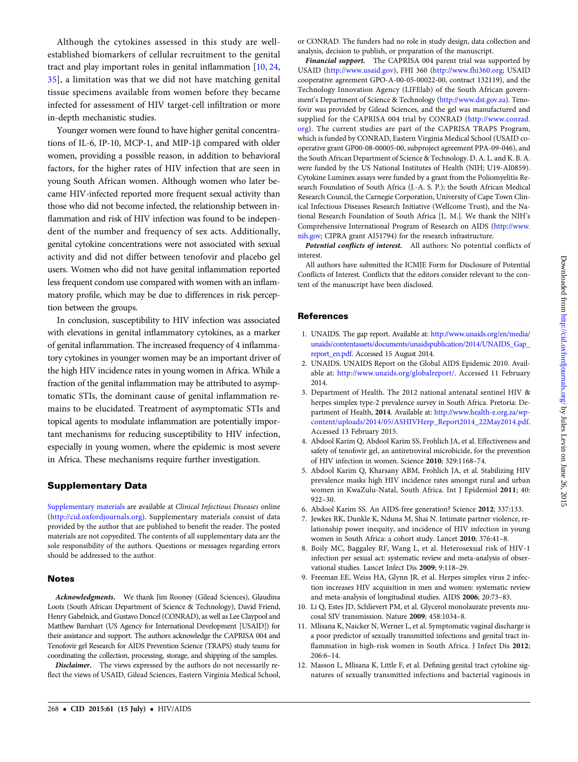<span id="page-8-0"></span>Although the cytokines assessed in this study are wellestablished biomarkers of cellular recruitment to the genital tract and play important roles in genital inflammation [10, [24,](#page-9-0) [35](#page-9-0)], a limitation was that we did not have matching genital tissue specimens available from women before they became infected for assessment of HIV target-cell infiltration or more in-depth mechanistic studies.

Younger women were found to have higher genital concentrations of IL-6, IP-10, MCP-1, and MIP-1β compared with older women, providing a possible reason, in addition to behavioral factors, for the higher rates of HIV infection that are seen in young South African women. Although women who later became HIV-infected reported more frequent sexual activity than those who did not become infected, the relationship between inflammation and risk of HIV infection was found to be independent of the number and frequency of sex acts. Additionally, genital cytokine concentrations were not associated with sexual activity and did not differ between tenofovir and placebo gel users. Women who did not have genital inflammation reported less frequent condom use compared with women with an inflammatory profile, which may be due to differences in risk perception between the groups.

In conclusion, susceptibility to HIV infection was associated with elevations in genital inflammatory cytokines, as a marker of genital inflammation. The increased frequency of 4 inflammatory cytokines in younger women may be an important driver of the high HIV incidence rates in young women in Africa. While a fraction of the genital inflammation may be attributed to asymptomatic STIs, the dominant cause of genital inflammation remains to be elucidated. Treatment of asymptomatic STIs and topical agents to modulate inflammation are potentially important mechanisms for reducing susceptibility to HIV infection, especially in young women, where the epidemic is most severe in Africa. These mechanisms require further investigation.

#### Supplementary Data

[Supplementary materials](http://cid.oxfordjournals.org/lookup/suppl/doi:10.1093/cid/civ298/-/DC1) are available at Clinical Infectious Diseases online ([http://cid.oxfordjournals.org\)](http://cid.oxfordjournals.org). Supplementary materials consist of data provided by the author that are published to benefit the reader. The posted materials are not copyedited. The contents of all supplementary data are the sole responsibility of the authors. Questions or messages regarding errors should be addressed to the author.

#### **Notes**

Acknowledgments. We thank Jim Rooney (Gilead Sciences), Glaudina Loots (South African Department of Science & Technology), David Friend, Henry Gabelnick, and Gustavo Doncel (CONRAD), as well as Lee Claypool and Matthew Barnhart (US Agency for International Development [USAID]) for their assistance and support. The authors acknowledge the CAPRISA 004 and Tenofovir gel Research for AIDS Prevention Science (TRAPS) study teams for coordinating the collection, processing, storage, and shipping of the samples.

Disclaimer. The views expressed by the authors do not necessarily reflect the views of USAID, Gilead Sciences, Eastern Virginia Medical School, or CONRAD. The funders had no role in study design, data collection and analysis, decision to publish, or preparation of the manuscript.

Financial support. The CAPRISA 004 parent trial was supported by USAID [\(http://www.usaid.gov](http://www.usaid.gov)), FHI 360 (<http://www.fhi360.org>; USAID cooperative agreement GPO-A-00-05-00022-00, contract 132119), and the Technology Innovation Agency (LIFElab) of the South African government's Department of Science & Technology ([http://www.dst.gov.za\)](http://www.dst.gov.za). Tenofovir was provided by Gilead Sciences, and the gel was manufactured and supplied for the CAPRISA 004 trial by CONRAD ([http://www.conrad.](http://www.conrad.org) [org](http://www.conrad.org)). The current studies are part of the CAPRISA TRAPS Program, which is funded by CONRAD, Eastern Virginia Medical School (USAID cooperative grant GP00-08-00005-00, subproject agreement PPA-09-046), and the South African Department of Science & Technology. D. A. L. and K. B. A. were funded by the US National Institutes of Health (NIH; U19-AI0859). Cytokine Luminex assays were funded by a grant from the Poliomyelitis Research Foundation of South Africa (J.-A. S. P.); the South African Medical Research Council, the Carnegie Corporation, University of Cape Town Clinical Infectious Diseases Research Initiative (Wellcome Trust), and the National Research Foundation of South Africa [L. M.]. We thank the NIH's Comprehensive International Program of Research on AIDS ([http://www.](http://www.nih.gov) [nih.gov](http://www.nih.gov); CIPRA grant AI51794) for the research infrastructure.

Potential conflicts of interest. All authors: No potential conflicts of interest.

All authors have submitted the ICMJE Form for Disclosure of Potential Conflicts of Interest. Conflicts that the editors consider relevant to the content of the manuscript have been disclosed.

#### References

- 1. UNAIDS. The gap report. Available at: [http://www.unaids.org/en/media/](http://www.unaids.org/en/media/unaids/contentassets/documents/unaidspublication/2014/UNAIDS_Gap_report_en.pdf) [unaids/contentassets/documents/unaidspublication/2014/UNAIDS\\_Gap\\_](http://www.unaids.org/en/media/unaids/contentassets/documents/unaidspublication/2014/UNAIDS_Gap_report_en.pdf) [report\\_en.pdf](http://www.unaids.org/en/media/unaids/contentassets/documents/unaidspublication/2014/UNAIDS_Gap_report_en.pdf). Accessed 15 August 2014.
- 2. UNAIDS. UNAIDS Report on the Global AIDS Epidemic 2010. Available at: [http://www.unaids.org/globalreport/.](http://www.unaids.org/globalreport/) Accessed 11 February 2014.
- 3. Department of Health. The 2012 national antenatal sentinel HIV & herpes simplex type-2 prevalence survey in South Africa. Pretoria: Department of Health, 2014. Available at: [http://www.health-e.org.za/wp](http://www.health-e.org.za/wp-content/uploads/2014/05/ASHIVHerp_Report2014_22May2014.pdf)[content/uploads/2014/05/ASHIVHerp\\_Report2014\\_22May2014.pdf](http://www.health-e.org.za/wp-content/uploads/2014/05/ASHIVHerp_Report2014_22May2014.pdf). Accessed 13 February 2015.
- 4. Abdool Karim Q, Abdool Karim SS, Frohlich JA, et al. Effectiveness and safety of tenofovir gel, an antiretroviral microbicide, for the prevention of HIV infection in women. Science 2010; 329:1168–74.
- 5. Abdool Karim Q, Kharsany ABM, Frohlich JA, et al. Stabilizing HIV prevalence masks high HIV incidence rates amongst rural and urban women in KwaZulu-Natal, South Africa. Int J Epidemiol 2011; 40: 922–30.
- 6. Abdool Karim SS. An AIDS-free generation? Science 2012; 337:133.
- 7. Jewkes RK, Dunkle K, Nduna M, Shai N. Intimate partner violence, relationship power inequity, and incidence of HIV infection in young women in South Africa: a cohort study. Lancet 2010; 376:41–8.
- 8. Boily MC, Baggaley RF, Wang L, et al. Heterosexual risk of HIV-1 infection per sexual act: systematic review and meta-analysis of observational studies. Lancet Infect Dis 2009; 9:118–29.
- 9. Freeman EE, Weiss HA, Glynn JR, et al. Herpes simplex virus 2 infection increases HIV acquisition in men and women: systematic review and meta-analysis of longitudinal studies. AIDS 2006; 20:73–83.
- 10. Li Q, Estes JD, Schlievert PM, et al. Glycerol monolaurate prevents mucosal SIV transmission. Nature 2009; 458:1034–8.
- 11. Mlisana K, Naicker N, Werner L, et al. Symptomatic vaginal discharge is a poor predictor of sexually transmitted infections and genital tract inflammation in high-risk women in South Africa. J Infect Dis 2012; 206:6–14.
- 12. Masson L, Mlisana K, Little F, et al. Defining genital tract cytokine signatures of sexually transmitted infections and bacterial vaginosis in